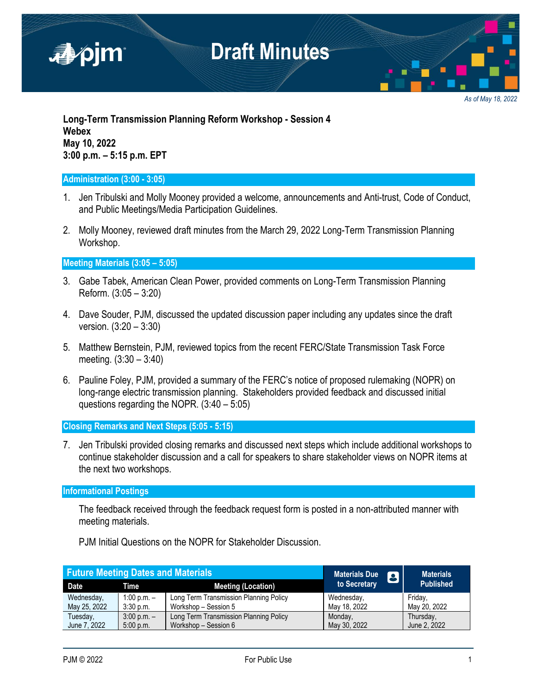

*As of May 18, 2022*

**Long-Term Transmission Planning Reform Workshop - Session 4 Webex May 10, 2022 3:00 p.m. – 5:15 p.m. EPT**

### **Administration (3:00 - 3:05)**

- 1. Jen Tribulski and Molly Mooney provided a welcome, announcements and Anti-trust, Code of Conduct, and Public Meetings/Media Participation Guidelines.
- 2. Molly Mooney, reviewed draft minutes from the March 29, 2022 Long-Term Transmission Planning Workshop.

**Meeting Materials (3:05 – 5:05)**

- 3. Gabe Tabek, American Clean Power, provided comments on Long-Term Transmission Planning Reform. (3:05 – 3:20)
- 4. Dave Souder, PJM, discussed the updated discussion paper including any updates since the draft version. (3:20 – 3:30)
- 5. Matthew Bernstein, PJM, reviewed topics from the recent FERC/State Transmission Task Force meeting. (3:30 – 3:40)
- 6. Pauline Foley, PJM, provided a summary of the FERC's notice of proposed rulemaking (NOPR) on long-range electric transmission planning. Stakeholders provided feedback and discussed initial questions regarding the NOPR. (3:40 – 5:05)

**Closing Remarks and Next Steps (5:05 - 5:15)**

7. Jen Tribulski provided closing remarks and discussed next steps which include additional workshops to continue stakeholder discussion and a call for speakers to share stakeholder views on NOPR items at the next two workshops.

### **Informational Postings**

The feedback received through the feedback request form is posted in a non-attributed manner with meeting materials.

| <b>Future Meeting Dates and Materials</b> |                 |                                        | <b>Materials Due</b><br>8 | <b>Materials</b> |
|-------------------------------------------|-----------------|----------------------------------------|---------------------------|------------------|
| Date                                      | Time            | <b>Meeting (Location)</b>              | to Secretary              | <b>Published</b> |
| Wednesday,                                | 1:00 p.m. $-$   | Long Term Transmission Planning Policy | Wednesday,                | Fridav.          |
| May 25, 2022                              | $3:30$ p.m.     | Workshop - Session 5                   | May 18, 2022              | May 20, 2022     |
| Tuesday,                                  | $3:00$ p.m. $-$ | Long Term Transmission Planning Policy | Monday,                   | Thursday.        |
| June 7, 2022                              | 5:00 p.m.       | Workshop - Session 6                   | May 30, 2022              | June 2, 2022     |

PJM Initial Questions on the NOPR for Stakeholder Discussion.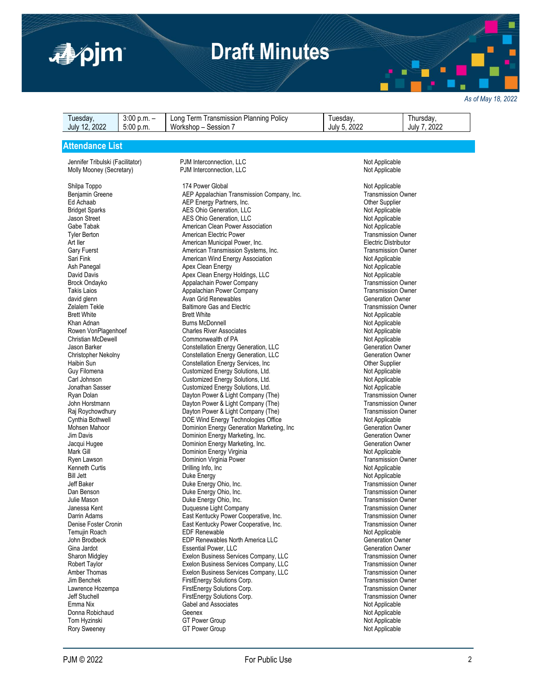

# **Draft Minutes**

*As of May 18, 2022*

| Tuesday,<br>July 12, 2022            | $3:00$ p.m. $-$<br>5:00 p.m. | Long Term Transmission Planning Policy<br>Workshop - Session 7           | Tuesday,<br>July 5, 2022  | Thursday,<br>July 7, 2022                              |  |
|--------------------------------------|------------------------------|--------------------------------------------------------------------------|---------------------------|--------------------------------------------------------|--|
|                                      |                              |                                                                          |                           |                                                        |  |
| <b>Attendance List</b>               |                              |                                                                          |                           |                                                        |  |
|                                      |                              |                                                                          |                           |                                                        |  |
| Jennifer Tribulski (Facilitator)     |                              | PJM Interconnection, LLC                                                 | Not Applicable            |                                                        |  |
| Molly Mooney (Secretary)             |                              | PJM Interconnection, LLC                                                 | Not Applicable            |                                                        |  |
|                                      |                              |                                                                          |                           |                                                        |  |
| Shilpa Toppo                         |                              | 174 Power Global                                                         | Not Applicable            |                                                        |  |
| Benjamin Greene                      |                              | AEP Appalachian Transmission Company, Inc.                               |                           | <b>Transmission Owner</b>                              |  |
| Ed Achaab                            |                              | AEP Energy Partners, Inc.                                                | <b>Other Supplier</b>     |                                                        |  |
| <b>Bridget Sparks</b>                |                              | AES Ohio Generation, LLC                                                 | Not Applicable            |                                                        |  |
| Jason Street                         |                              | AES Ohio Generation, LLC                                                 | Not Applicable            |                                                        |  |
| Gabe Tabak                           |                              | American Clean Power Association                                         | Not Applicable            |                                                        |  |
| <b>Tyler Berton</b>                  |                              | American Electric Power                                                  | <b>Transmission Owner</b> |                                                        |  |
| Art Iler                             |                              | American Municipal Power, Inc.                                           |                           | <b>Electric Distributor</b>                            |  |
| Gary Fuerst                          |                              | American Transmission Systems, Inc.                                      |                           | <b>Transmission Owner</b>                              |  |
| Sari Fink                            |                              | American Wind Energy Association                                         | Not Applicable            |                                                        |  |
| Ash Panegal                          |                              | Apex Clean Energy                                                        | Not Applicable            |                                                        |  |
| David Davis                          |                              | Apex Clean Energy Holdings, LLC                                          | Not Applicable            |                                                        |  |
| Brock Ondayko                        |                              | Appalachain Power Company                                                |                           | <b>Transmission Owner</b>                              |  |
| <b>Takis Laios</b>                   |                              | Appalachian Power Company                                                |                           | <b>Transmission Owner</b>                              |  |
| david glenn                          |                              | Avan Grid Renewables                                                     |                           | <b>Generation Owner</b>                                |  |
| Zelalem Tekle                        |                              | <b>Baltimore Gas and Electric</b>                                        |                           | <b>Transmission Owner</b>                              |  |
| <b>Brett White</b>                   |                              | <b>Brett White</b>                                                       | Not Applicable            |                                                        |  |
| Khan Adnan                           |                              | <b>Burns McDonnell</b>                                                   |                           | Not Applicable                                         |  |
| Rowen VonPlagenhoef                  |                              | <b>Charles River Associates</b>                                          | Not Applicable            |                                                        |  |
| <b>Christian McDewell</b>            |                              | Commonwealth of PA                                                       |                           | Not Applicable                                         |  |
| Jason Barker                         |                              | Constellation Energy Generation, LLC                                     |                           | <b>Generation Owner</b>                                |  |
| Christopher Nekolny                  |                              | Constellation Energy Generation, LLC                                     | <b>Generation Owner</b>   |                                                        |  |
| Haibin Sun                           |                              | Constellation Energy Services, Inc.                                      |                           | <b>Other Supplier</b>                                  |  |
| Guy Filomena                         |                              | Customized Energy Solutions, Ltd.                                        |                           | Not Applicable<br>Not Applicable                       |  |
| Carl Johnson                         |                              | Customized Energy Solutions, Ltd.                                        |                           |                                                        |  |
| Jonathan Sasser                      |                              | Customized Energy Solutions, Ltd.                                        |                           | Not Applicable                                         |  |
| Ryan Dolan<br>John Horstmann         |                              | Dayton Power & Light Company (The)<br>Dayton Power & Light Company (The) |                           | <b>Transmission Owner</b><br><b>Transmission Owner</b> |  |
|                                      |                              | Dayton Power & Light Company (The)                                       |                           | <b>Transmission Owner</b>                              |  |
| Raj Roychowdhury<br>Cynthia Bothwell |                              | DOE Wind Energy Technologies Office                                      | Not Applicable            |                                                        |  |
| Mohsen Mahoor                        |                              | Dominion Energy Generation Marketing, Inc                                |                           | <b>Generation Owner</b>                                |  |
| Jim Davis                            |                              | Dominion Energy Marketing, Inc.                                          |                           | <b>Generation Owner</b>                                |  |
| Jacqui Hugee                         |                              | Dominion Energy Marketing, Inc.                                          |                           | Generation Owner                                       |  |
| Mark Gill                            |                              | Dominion Energy Virginia                                                 | Not Applicable            |                                                        |  |
| Ryen Lawson                          |                              | Dominion Virginia Power                                                  |                           | <b>Transmission Owner</b>                              |  |
| Kenneth Curtis                       |                              | Drilling Info, Inc                                                       | Not Applicable            |                                                        |  |
| <b>Bill Jett</b>                     |                              | Duke Energy                                                              | Not Applicable            |                                                        |  |
| Jeff Baker                           |                              | Duke Energy Ohio, Inc.                                                   |                           | <b>Transmission Owner</b>                              |  |
| Dan Benson                           |                              | Duke Energy Ohio, Inc.                                                   |                           | <b>Transmission Owner</b>                              |  |
| Julie Mason                          |                              | Duke Energy Ohio, Inc.                                                   |                           | <b>Transmission Owner</b>                              |  |
| Janessa Kent                         |                              | Duquesne Light Company                                                   |                           | <b>Transmission Owner</b>                              |  |
| Darrin Adams                         |                              | East Kentucky Power Cooperative, Inc.                                    |                           | <b>Transmission Owner</b>                              |  |
| Denise Foster Cronin                 |                              | East Kentucky Power Cooperative, Inc.                                    |                           | <b>Transmission Owner</b>                              |  |
| Temujin Roach                        |                              | <b>EDF Renewable</b>                                                     | Not Applicable            |                                                        |  |
| John Brodbeck                        |                              | EDP Renewables North America LLC                                         |                           | <b>Generation Owner</b>                                |  |
| Gina Jardot                          |                              | <b>Essential Power, LLC</b>                                              |                           | <b>Generation Owner</b>                                |  |
| Sharon Midgley                       |                              | Exelon Business Services Company, LLC                                    |                           | <b>Transmission Owner</b>                              |  |
| <b>Robert Taylor</b>                 |                              | Exelon Business Services Company, LLC                                    |                           | <b>Transmission Owner</b>                              |  |
| Amber Thomas                         |                              | Exelon Business Services Company, LLC                                    |                           | <b>Transmission Owner</b>                              |  |
| Jim Benchek                          |                              | FirstEnergy Solutions Corp.                                              |                           | <b>Transmission Owner</b>                              |  |
| Lawrence Hozempa                     |                              | FirstEnergy Solutions Corp.                                              |                           | <b>Transmission Owner</b>                              |  |
| Jeff Stuchell                        |                              | FirstEnergy Solutions Corp.                                              |                           | <b>Transmission Owner</b>                              |  |
| Emma Nix                             |                              | Gabel and Associates                                                     |                           | Not Applicable                                         |  |

Donna Robichaud **Geenex** Geenex **Communication Communication** Not Applicable Tom Hyzinski Not Applicable GT Power Group Not Applicable Not Applicable Not Applicable Rory Sweeney **GT Power Group Not Applicable** Not Applicable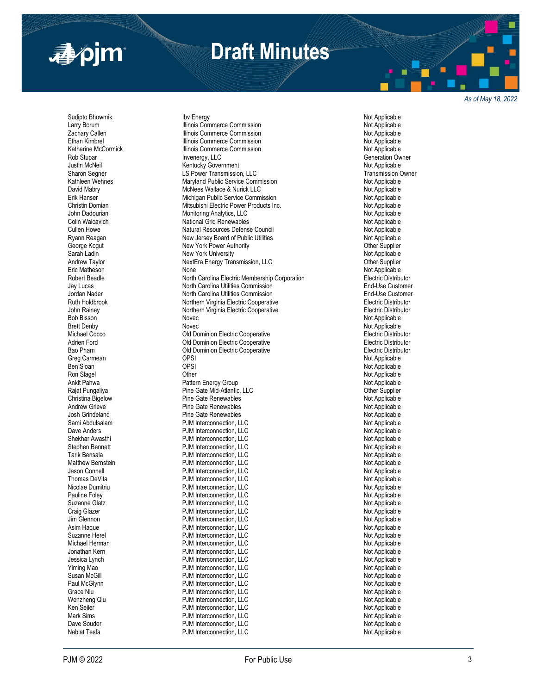

## **Draft Minutes**

*As of May 18, 2022*

Sudipto Bhowmik **Subset Contains the University of Applicable**<br>Intervention of Applicable Illinois Commerce Commission **Noted Applicable** Not Applicable Nebiat Tesfa **PJM** Interconnection, LLC

Larry Borum **Illinois Commerce Commission**<br>
2 The Machary Callen **Not Applicable**<br>
2 The Machary Callen **Not Applicable** Zachary Callen Illinois Commerce Commission Not Applicable Illinois Commerce Commission and Commission and Commerce Commission Not Applicable<br>
Illinois Commerce Commission and Commission Not Applicable Katharine McCormick Illinois Commerce Commission Rob Stupar Novembergy, LLC<br>
Unity Motel Generation Owner<br>
Unity Motel Applicable Covernment Covernment Current Covernment Current Applicable Justin McNeil Kentucky Government Not Applicable LS Power Transmission, LLC Kathleen Wehnes **Maryland Public Service Commission** Mathleen Wehnes Not Applicable David Mabry **Mullace & Nurick LLC** David Mabry Mot Applicable<br>Trik Hanser Not Applicable Michigan Public Service Commission Erik Hanser<br>
Christin Domian Michigan Public Service Commission<br>
Mitsubishi Electric Power Products In Christin Domian **Mitsubishi Electric Power Products Inc.** Not Applicable Monitoring Analytics, LLC<br>Community: Not Applicable Monitoring Analytics, LLC Monitoring Analytics, LLC Colin Walcavich National Grid Renewables Not Applicable Cullen Howe Natural Resources Defense Council Not Applicable Ryann Reagan **New Jersey Board of Public Utilities** Not Applicable<br>
Not Applicable New York Power Authority<br>
Other Supplier New York Power Authority Sarah Ladin New York University New York University Not Applicable Andrew Taylor **Andrew Taylor NextEra Energy Transmission, LLC** Christen and the Supplier Supplier<br>Tric Matheson None None None None Mot Applicable<br>
North Carolina Electric Membership Corporation<br>
Electric Distributor Robert Beadle North Carolina Electric Membership Corporation Electric Membership Corporation Jay Lucas **North Carolina Utilities Commission**<br>Jordan Nader **North Carolina Utilities Commission** Jordan Nader **North Carolina Utilities Commission**<br>Ruth Holdbrook **Northern Nurginia Electric Cooperative** End and Theretric Distributor Northern Virginia Electric Cooperative **Northern Holdbrook Northern Virginia Electric Distributor**<br>Northern Virginia Electric Cooperative **Electric Distributor** John Rainey **Northern Virginia Electric Cooperative**<br>Bob Bisson **Northern Wirginia Electric Cooperative** Novec Novec November 2012 1999 Not Applicable Brett Denby Novec Novec Novec Novec Changes and the Not Applicable<br>Michael Cocco November 2012 Old Dominion Electric Cooperative November 2013 November 2016 Michael Cocco Old Dominion Electric Cooperative Electric Distributor Adrien Ford **Adrien For Administrative** Comminion Electric Cooperative **Cooperative Electric Distributor**<br>
Old Dominion Electric Cooperative **Cooperative Cooperative** Electric Distributor Old Dominion Electric Cooperative Greg Carmean OPSI Not Applicable en Sloan and the Sloan of the OPSI Contract of the OPSI Contract of the OPSI Contract of the OPSI Contract of the OPSI Contract of the Open Contract of the Open Contract of the Open Contract Open Contract Open Contract Ope Ron Slagel Other Not Applicable Pattern Energy Group Rajat Pungaliya Pine Gate Mid Pine Gate Renewables Andrew Grieve **Andrew Grieve Pine Gate Renewables** Andrew Pine Gate Renewables Andrew Physicable Not Applicable<br>Andrew Pine Gate Renewables Andrew Physicable Not Applicable Pine Gate Renewables Sami Abdulsalam **Example 2018** PJM Interconnection, LLC Not Applicable Not Applicable Dave Anders Motivation and Devil PJM Interconnection, LLC Not Applicable Not Applicable<br>
PJM Interconnection, LLC Not Applicable Not Applicable Shekhar Awasthi **Shekhar Awasthi Shekhar Awasthi** PJM Interconnection, LLC **Not Applicable** Stephen Bennett **Not Applicable** PJM Interconnection, LLC PJM Interconnection, LLC<br>
PJM Interconnection, LLC<br>
Not Applicable Tarik Bensala **National Properties Connection, LCC**<br>Tarik Bensala PJM Interconnection, LLC Not Applicable Not Applicable Matthew Bernstein **Matthew Bernstein Communist Communist PJM Interconnection**, LLC **Not Applicable** Not Applicable<br>Not Applicable PJM Interconnection, LLC Jason Connell PJM Interconnection, LLC Not Applicable PJM Interconnection, LLC<br>
PJM Interconnection, LLC<br>
Not Applicable Nicolae Dumitriu **Nicolae Dumitriu PJM Interconnection, LLC** Pauline Foley **Pauline Foley** PJM Interconnection, LLC<br>
PGM Interconnection, LLC<br>
PJM Interconnection, LLC Suzanne Glatz **Suzanne Clarica Communist Communist Clarica** PJM Interconnection, LLC **Not Applicable**<br>Craig Glazer Craig Clarical PJM Interconnection, LLC Communist Clarical Platic Not Applicable Craig Glazer **Craig Clazer** PJM Interconnection, LLC<br>
FJM Interconnection, LLC Not Applicable<br>
PJM Interconnection, LLC PJM Interconnection, LLC Asim Haque **Asim Haque 19** COM Interconnection, LLC **Applicable 19 Connection According According According Connection According Connection According Connection According Not Applicable 19 COM Interconnection, LLC 19 COM I** Suzanne Herel PJM Interconnection, LLC Not Applicable PJM Interconnection, LLC<br>
PJM Interconnection. LLC<br>
Not Applicable Jonathan Kern **Note Applicable 2018** PJM Interconnection, LLC Jessica Lynch PJM Interconnection, LLC Not Applicable PJM Interconnection, LLC Susan McGill PJM Interconnection, LLC Not Applicable PJM Interconnection, LLC Grace Niu 1990 (Campaign Communication, Campaign Communication, LLC Not Applicable<br>Menzheng Qiu Not Applicable Not Applicable PJM Interconnection. LLC PJM Interconnection, LLC<br>
PJM Interconnection, LLC<br>
Not Applicable Ken Seiler Not Applicable (National PJM Interconnection, LLC Not Applicable Not Applicable Not Applicable Not<br>Not Applicable Not Applicable PJM Interconnection. LLC PJM Interconnection, LLC Dave Souder The Souder Connection, LCC of the Souder Souder Souder PJM Interconnection, LLC<br>1999 Not Applicable Not Applicable PJM Interconnection, LLC

End-Use Customer End-Use Customer Other Supplier<br>Not Applicable